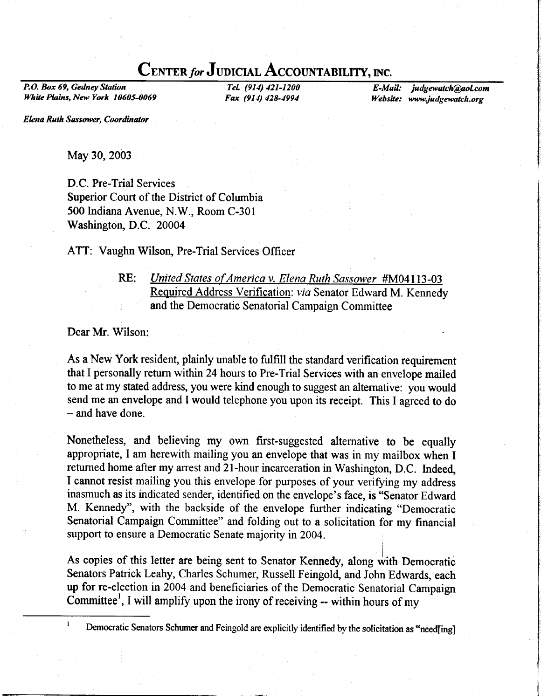# CENTER for JUDICIAL ACCOUNTABILITY, INC.

P.O. Box 69, Gedney Station White Plains, New York 10605-0069

Tel. (914) 421-1200 Fax (914) 428-4994

E-Mail: judgewatch@aol.com Website: www.judgewatch.org

Elena Ruth Sassower, Coordinator

May 30, 2003

D.C. Pre-Trial Services Superior Court of the District of Columbia 500 Indiana Avenue, N.W., Room C-301 Washington, D.C. 20004

ATT: Vaughn Wilson, Pre-Trial Services Officer

RE: *United States of America v. Elena Ruth Sassower* #M04113-03 Required Address Verification: via Senator Edward M. Kennedy and the Democratic Senatorial Campaign Committee

Dear Mr. Wilson:

As a New York resident, plainly unable to fulfill the standard verification requirement that I personally return within 24 hours to Pre-Trial Services with an envelope mailed to me at my stated address, you were kind enough to suggest an altemative: you would send me an envelope and I would telephone you upon its receipt. This I agreed to do - and have done.

Nonetheless, and believing my own first-suggested alternative to be equally appropriate, I am herewith mailing you an envelope that was in my mailbox when I returned home after my arrest and 21-hour incarceration in Washington, D.C. Indeed, I cannot resist mailing you this envelope for purposes of your verifying my address inasmuch as its indicated sender, identified on the envelope's face, is "Senator Edward M. Kennedy", with the backside of the envelope further indicating "Democratic Senatorial Campaign Committee" and folding out to a solicitation for my financial support to ensure a Democratic Senate majority in 2004.

As copies of this letter are being sent to Senator Kennedy, along with Democratic Senators Patrick Leahy, Charles Schumer, Russell Feingold, and John Edwards, each up for re-election in 2004 and beneficiaries of the Democratic Senatorial Campaign Committee<sup>1</sup>, I will amplify upon the irony of receiving -- within hours of my

<sup>&</sup>lt;sup>1</sup> Democratic Senators Schumer and Feingold are explicitly identified by the solicitation as "need[ing]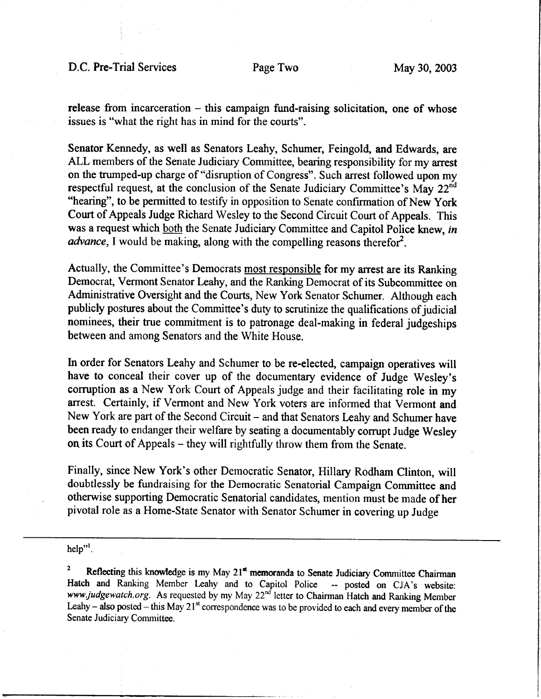D.C. Pre-Trial Services Page Two May 30, 2003

release from incarceration  $-$  this campaign fund-raising solicitation, one of whose issues is "what the right has in mind for the courts".

Senator Kennedy, as well as Senators Leahy, Schumer, Feingold, and Edwards, are ALL members of the Senate Judiciary Committee, bearing responsibility for my arrest on the trumped-up charge of "disruption of Congress". Such arrest followed upon my respectful request, at the conclusion of the Senate Judiciary Committee's May  $22<sup>nd</sup>$  "hearing", to be permitted to testify in opposition to Senate confirmation of New York Court of Appeals Judge Richard Wesley to the Second Circuit Court of Appeals. This was a request which both the Senate Judiciary Committee and Capitol Police knew, in *advance*, I would be making, along with the compelling reasons therefor<sup>2</sup>.

Actually, the Committee's Democrats most responsible for my arest are its Ranking Democrat, Vermont Senator Leahy, and the Ranking Democrat of its Subcommittee on Administrative Oversight and the Courts, New York Senator Schumer. Although each publicly postures about the Committee's duty to scrutinize the qualifications of judicial nominees, their true commitment is to patronage deal-making in federal judgeships between and among Senators and the White House.

In order for Senators Leahy and Schumer to be re-elected, campaign operatives will have to conceal their cover up of the documentary evidence of Judge Wesley's corruption as a New York Court of Appeals judge and their facilitating role in my arrest. Certainly, if Vermont and New York voters are informed that Vermont and New York are part of the Second Circuit - and that Senators Leahy and Schumer have been ready to endanger their welfare by seating a documentably corrupt Judge Wesley on its Court of Appeals - they will rightfully throw them from the Senate.

Finally, since New York's other Democratic Senator, Hillary Rodham Clinton, will doubtlessly be fundraising for the Democratic Senatorial Campaign Committee and otherwise supporting Democratic Senatorial candidates, mention must be made of her pivotal role as a Home-State Senator with Senator Schumer in covering up Judge

 $help$ ".

<sup>2</sup> Reflecting this knowledge is my May  $21<sup>st</sup>$  memoranda to Senate Judiciary Committee Chairman Hatch and Ranking Member Leahy and to Capitol Police -- posted on CJA's website: Hatch and Ranking Member Leahy and to Capitol Police www.judgewatch.org. As requested by my May 22<sup>nd</sup> letter to Chairman Hatch and Ranking Member Leahy - also posted - this May 21<sup>st</sup> correspondence was to be provided to each and every member of the Senate Judiciary Committee.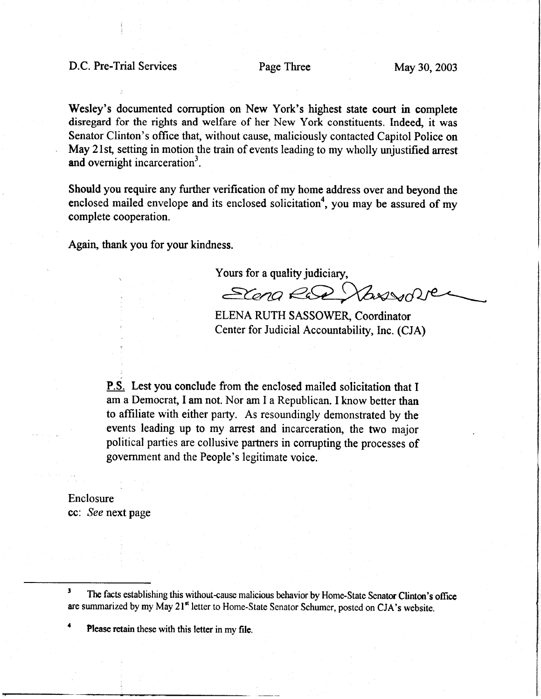## D.C. Pre-Trial Services Page Three May 30, 2003

Wesley's documented corruption on New York's highest state court in complete disregard for the rights and welfare of her New York constituents. Indeed, it was Senator Clinton's office that, without cause, maliciously contacted Capitol Police on May 21st, setting in motion the train of events leading to my wholly unjustified arrest and overnight incarceration<sup>3</sup>.

Should you require any further verification of my home address over and beyond the enclosed mailed envelope and its enclosed solicitation<sup>4</sup>, you may be assured of my complete cooperation.

Again, thank you for your kindness.

Yours for a quality judiciary,

Scena Rad Vanson

ELENA RUTH SASSOWER, Coordinator Center for Judicial Accountability, Inc. (CJA)

**P.S.** Lest you conclude from the enclosed mailed solicitation that I am a Democrat, Iam not. Nor am I a Republican. I know better than to affiliate with either party. As resoundingly demonstrated by the events leading up to my arest and incarceration, the two major political parties are collusive partners in corrupting the processes of government and the People's legitimate voice.

Enclosure cc: See next page

<sup>3</sup> The facts establishing this without-cause malicious behavior by Home-State Senator Clinton's office are summarized by my May 21<sup>st</sup> letter to Home-State Senator Schumer, posted on CJA's website.

Please retain these with this letter in my file.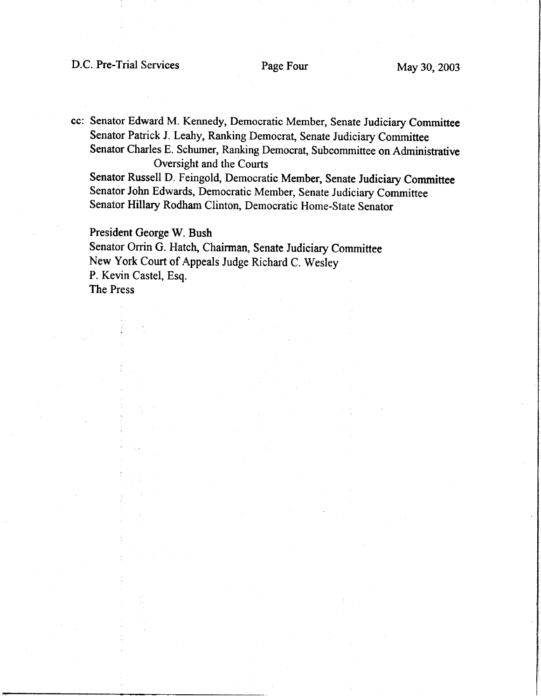cc: Senator Edward M. Kennedy, Democratic Member, Senate Judiciary Committee Senator Patrick J. Leahy, Ranking Democrat, Senate Judiciary Committee Senator Charles E. Schumer, Ranking Democrat, Subcommittee on Administrative Oversight and the Courts

Senator Russell D. Feingold, Democratic Member, Senate Judiciary Committee Senator John Edwards, Democratic Member, Senate Judiciary Committee senator Hillary Rodham clinton, Democratic Home-state Senator

President George W. Bush Senator Orrin G. Hatch, Chairman, Senate Judiciary Committee New York Court of Appeals Judge Richard C. Wesley P. Kevin Castel, Esq. The Press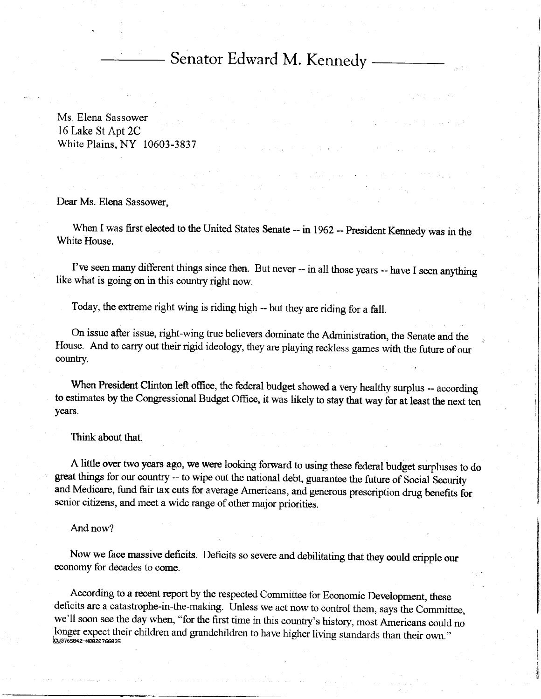# Senator Edward M. Kennedy

Ms. Elena Sassower 16 Lake St Apt 2C White Plains, NY 10603-3837

Dear Ms. Elena Sassower.

When I was first elected to the United States Senate -- in 1962 -- President Kennedy was in the White House.

I've seen many different things since then. But never -- in all those years -- have I seen anything like what is going on in this country right now.

Today, the extreme right wing is riding high -- but they are riding for a fall.

On issue after issue, right-wing true believers dominate the Administration, the Senate and the House. And to carry out their rigid ideology, they are playrng reckless games with the future of our country.

When President Clinton left office, the federal budget showed a very healthy surplus -- according to estimates by the Congressional Budget Office, it was likely to stay that way for at least the next ten years.

Think about that.

A little over two years ago, we were looking forward to using these federal budget surpluses to do great things for our country -- to wipe out the national debt, guarantee the future of Social Security and Medicare, fund fair tax cuts for average Americans, and generous prescription drug benefits for senior citizens, and meet a wide range of other major priorities.

And now?

Now we face massive deficits. Deficits so severe and debititating that they could cripple our economy for decades to come.

According to a recent report by the respected Committee for Economic Development, these deficits are a catastrophe-in-the-making. Unless we act now to control them, says the Committee, we'll soon see the day when, "for the first time in this country's history, most Americans could no longer expect their children and grandchildren to have higher living standards than their own."<br>cua765842-t@22a766a35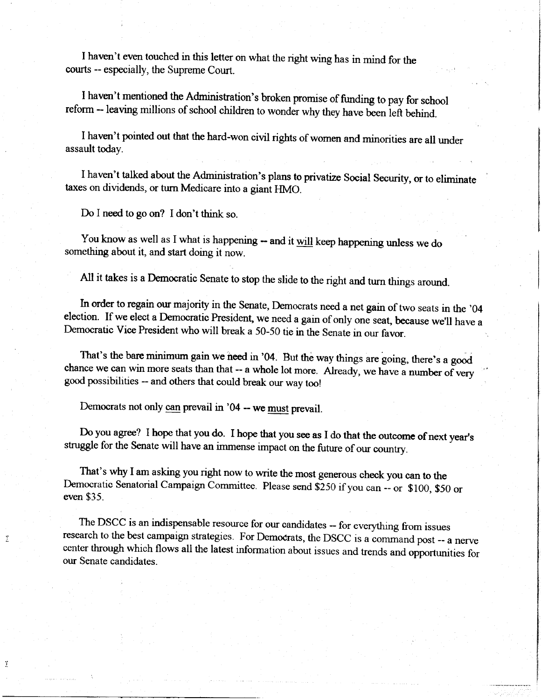I haven't even touched in this letter on what the nght wing has in mind for the courts -- especially, the Supreme Court.

I haven't mentioned the Administration's broken promise of fturding to pay for school reform -- leaving millions of school children to wonder why they have been left behind.

I haven't pointed out that the hard-won civil rights of women and minorities are all under assault today.

I haven't talked about the Administration's plans to privatize Social Security, or to eliminate taxes on dividends, or turn Medicare into a giant HMO.

Do I need to go on? I don't think so.

T

Ï

You know as well as I what is happening -- and it will keep happening unless we do something about it, and start doing it now.

All it takes is a Democratic Senate to stop the slide to the right and turn things around.

In order to regain our majority in the Senate, Democrats need a net gain of two seats in the '04 election. If we elect a Democratic President, we need a gain of only one seat, because we'll have a Democratic Vice President who will break a 50-50 tie in the Senate in our favor.

That's the barc minimum gain we need in '04. But the way things are going, there's a good chance we can win more seats than that  $-$  a whole lot more. Already, we have a number of very good possibilities -- and others that could break our way too!

Democrats not only can prevail in '04 -- we must prevail.

Do you agree? I hope that you do. I hope that you see as I do that the outcome of next year's struggle for the Senate will have an immense impact on the future of our country.

That's why I am asking you right now to write the most generous check you can to the Democratic Senatorial Campaign Committee. Please send \$250 if you can -- or \$100, \$50 or even \$35.

The DSCC is an indispensable resource for our candidates -- for everything from issues research to the best campaign strategies. For Democrats, the DSCC is a command post -- a nerve center through which flows all the latest information about issues and trends and opportunities for our Senate candidates.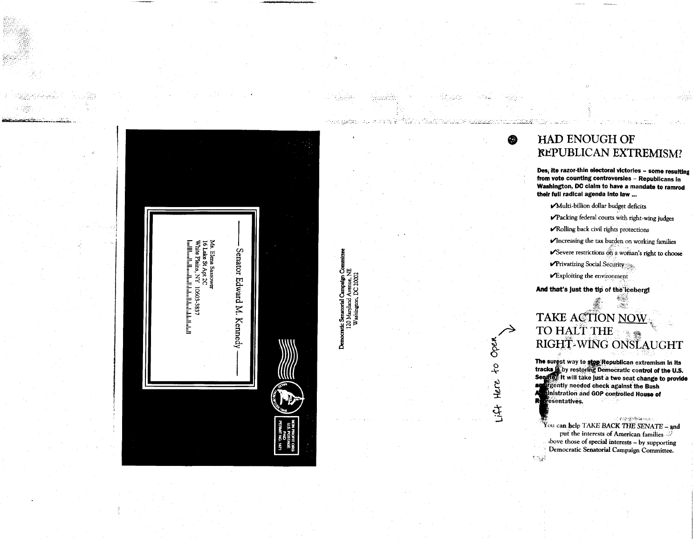

医表示

Democratic Senatorial Campaign Committe<br>120 Maryland Avenue, NE<br>Washington, DC 20002

jetematak.

## HAD ENOUGH OF REPUBLICAN EXTREMISM?

Des, ite razor-thin electoral victories - some resulting from vote counting controversies - Republicans in Washington, DC claim to have a mandate to ramrod their full radical agenda into law ...

Multi-billion dollar budget deficits

فتتنفذ

œ

Open

 $\frac{5}{5}$ 

Here

सुँ

- Packing federal courts with right-wing judges
- Rolling back civil rights protections
- √Increasing the tax burden on working families
- Severe restrictions on a woman's right to choose
- $\nu$ Privatizing Social Security
- $\boldsymbol{\mathscr{V}}$  Exploiting the environment

And that's just the tip of the iceberg!

# $\mathcal{O}(\mathbb{R}^d)$ TAKE ACTION NOW TO HALT THE RIGHT-WING ONSLAUGHT

The surest way to stop Republican extremism in its tracks is by restoring Democratic control of the U.S. Senator It will take just a two seat change to provide ag gently needed check against the Bush Inistration and GOP controlled House of R. resentatives.

**SEAR SEARANTHER** You can help TAKE BACK THE SENATE - and put the interests of American families dove those of special interests - by supporting Democratic Senatorial Campaign Committee. 高額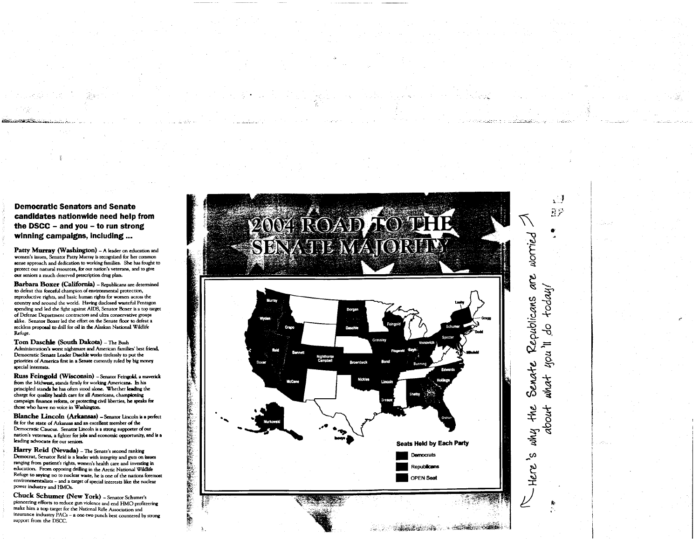## **Democratic Senators and Senate** candidates nationwide need help from the DSCC  $-$  and you  $-$  to run strong winning campaigns, including ...

Patty Murray (Washington) - A leader on education and women's issues, Senator Patty Murray is recognized for her common sense approach and dedication to working families. She has fought to protect our natural resources, for our nation's veterans, and to give our seniors a much deserved prescription drug plan.

Barbara Boxer (California) - Republicans are determined to defeat this forceful champion of environmental protection, reproductive rights, and basic human rights for women across the country and around the world. Having disclosed wasteful Pentagon spending and led the fight against AIDS, Senator Boxer is a top target of Defense Department contractors and ultra conservative groups alike. Senator Boxer led the effort on the Senate floor to defeat a reckless proposal to drill for oil in the Alaskan National Wildlife Refuge.

Tom Daschle (South Dakota) - The Bush Administration's worst nightmare and American families' best friend, Democratic Senate Leader Daschle works tirelessly to put the priorities of America first in a Senate currently ruled by big money special interests.

Russ Feingold (Wisconsin) - Senator Feingold, a maverick from the Midwest, stands firmly for working Americans. In his principled stands he has often stood alone. Whether leading the charge for quality health care for all Americans, championing campaign finance reform, or protecting civil liberties, he speaks for those who have no voice in Washington.

Blanche Lincoln (Arkansas) - Senator Lincoln is a perfect fit for the state of Arkansas and an excellent member of the Democratic Caucus. Senator Lincoln is a strong supporter of our nation's veterans, a fighter for jobs and economic opportunity, and is a leading advocate for our seniors.

Harry Reid (Nevada) - The Senate's second ranking Democrat, Senator Reid is a leader with integrity and guts on issues ranging from patient's rights, women's health care and investing in education. From opposing drilling in the Arctic National Wildlife Refuge to saying no to nuclear waste, he is one of the nations foremost environmentalists - and a target of special interests like the nuclear power industry and HMOs.

Chuck Schumer (New York) - Senator Schumer's pioneering efforts to reduce gun violence and end HMO profiteering make him a top target for the National Rifle Association and insurance industry PACs - a one-two punch best countered by strong support from the DSCC.

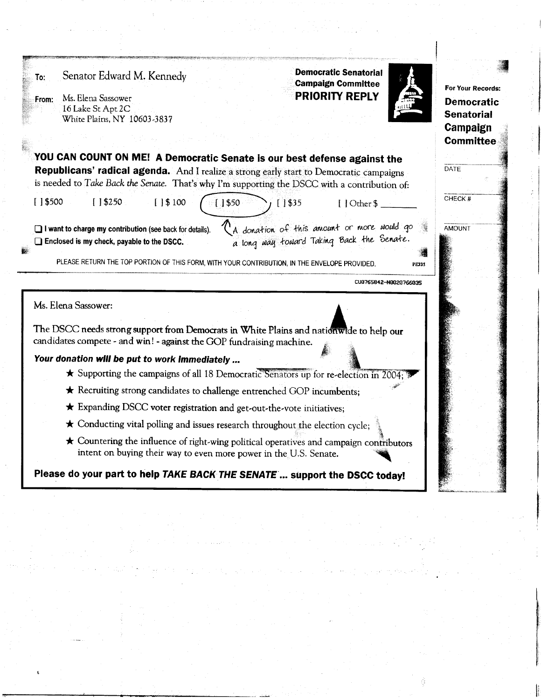### Senator Edward M. Kennedy To:

Ms. Elena Sassower From: 16 Lake St Apt 2C White Plains, NY 10603-3837 **Democratic Senatorial Campaign Committee PRIORITY REPLY** 



For Your Records: **Democratic Senatorial** Campaign **Committee** 

DATE

CHECK#

AMOUNT

| YOU CAN COUNT ON ME! A Democratic Senate is our best defense against the<br><b>Republicans' radical agenda.</b> And I realize a strong early start to Democratic campaigns<br>is needed to Take Back the Senate. That's why I'm supporting the DSCC with a contribution of:                                                   |
|-------------------------------------------------------------------------------------------------------------------------------------------------------------------------------------------------------------------------------------------------------------------------------------------------------------------------------|
| [1\$3250]<br>[ 1\$ 100<br>$[$   \$500<br>1\$50<br>$[1$ \$35<br>[   Other \$                                                                                                                                                                                                                                                   |
| '.A donation of this annount or more would go<br>'a long way toward Taking Back the Senate.<br>$\Box$ I want to charge my contribution (see back for details).<br>$\Box$ Enclosed is my check, payable to the DSCC.<br>PLEASE RETURN THE TOP PORTION OF THIS FORM, WITH YOUR CONTRIBUTION, IN THE ENVELOPE PROVIDED.<br>PE335 |
| CU8765842-N0020766035                                                                                                                                                                                                                                                                                                         |
| Ms. Elena Sassower:                                                                                                                                                                                                                                                                                                           |
| The DSCC needs strong support from Democrats in White Plains and nationwide to help our<br>candidates compete - and win! - against the GOP fundraising machine.                                                                                                                                                               |

Your donation will be put to work immediately ...

- Supporting the campaigns of all 18 Democratic Senators up for re-election in 2004;
- \* Recruiting strong candidates to challenge entrenched GOP incumbents;
- \* Expanding DSCC voter registration and get-out-the-vote initiatives;
- ★ Conducting vital polling and issues research throughout the election cycle;
- \* Countering the influence of right-wing political operatives and campaign contributors intent on buying their way to even more power in the U.S. Senate.

Please do your part to help TAKE BACK THE SENATE ... support the DSCC today!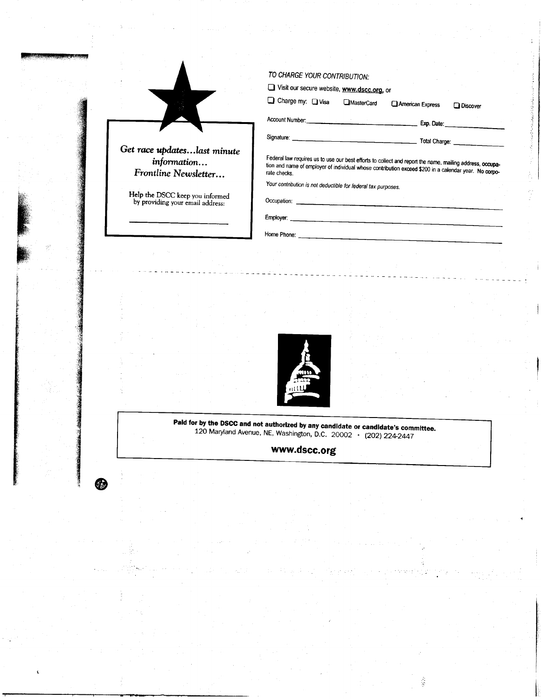|                                                                     | Visit our secure website, www.dscc.org, or                                                                                                                                                                                           |
|---------------------------------------------------------------------|--------------------------------------------------------------------------------------------------------------------------------------------------------------------------------------------------------------------------------------|
|                                                                     | Charge my: Q Visa<br><b>MasterCard</b><br>American Express<br><b>Q</b> Discover                                                                                                                                                      |
|                                                                     | Account Number: <b>CONSUMING THE CONSUMING TO A REPORT OF A REPORT OF A REPORT OF A REPORT OF A REPORT OF A REPORT OF A REPORT OF A REPORT OF A REPORT OF A REPORT OF A REPORT OF A REPORT OF A REPORT OF A REPORT OF A REPORT O</b> |
|                                                                     |                                                                                                                                                                                                                                      |
| information<br>Frontline Newsletter                                 | Federal law requires us to use our best efforts to collect and report the name, mailing address, occupa-<br>tion and name of employer of individual whose contribution exceed \$200 in a calendar year. No corpo-<br>rate checks.    |
| Help the DSCC keep you informed<br>by providing your email address: | Your contribution is not deductible for federal tax purposes.                                                                                                                                                                        |
|                                                                     |                                                                                                                                                                                                                                      |
|                                                                     |                                                                                                                                                                                                                                      |
|                                                                     |                                                                                                                                                                                                                                      |



**Paid for by the DSCC and not authorized by any candidate or candidate's committee.**<br>120 Maryland Avenue, NE, Washington, D.C.  $20002 \cdot (202) 224-2447$ 

ĝ

www.dscc.org

 $\bigcirc$